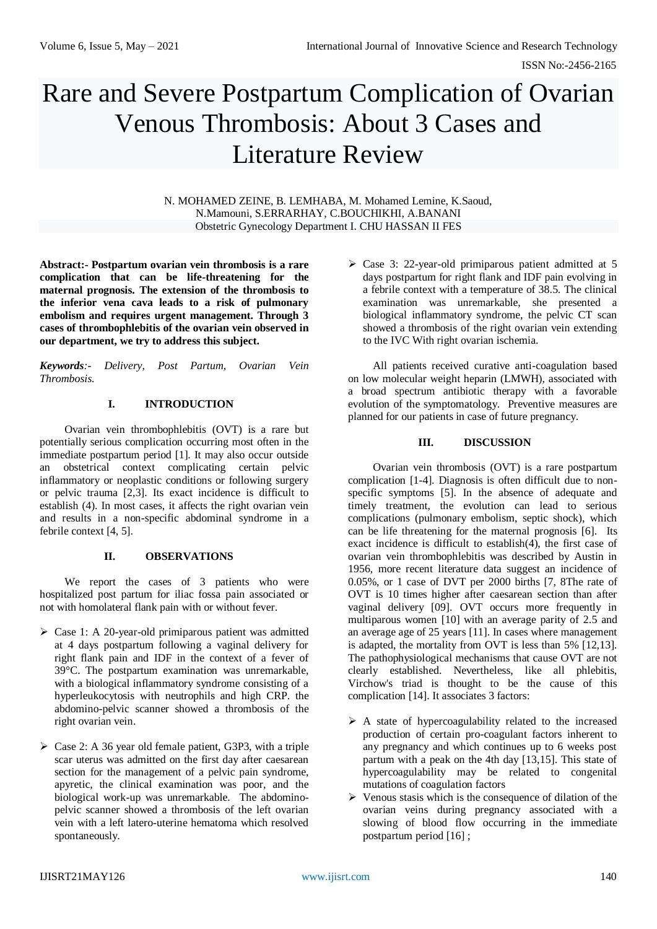# Rare and Severe Postpartum Complication of Ovarian Venous Thrombosis: About 3 Cases and Literature Review

N. MOHAMED ZEINE, B. LEMHABA, M. Mohamed Lemine, K.Saoud, N.Mamouni, S.ERRARHAY, C.BOUCHIKHI, A.BANANI Obstetric Gynecology Department I. CHU HASSAN II FES

**Abstract:- Postpartum ovarian vein thrombosis is a rare complication that can be life-threatening for the maternal prognosis. The extension of the thrombosis to the inferior vena cava leads to a risk of pulmonary embolism and requires urgent management. Through 3 cases of thrombophlebitis of the ovarian vein observed in our department, we try to address this subject.**

*Keywords:- Delivery, Post Partum, Ovarian Vein Thrombosis.*

# **I. INTRODUCTION**

Ovarian vein thrombophlebitis (OVT) is a rare but potentially serious complication occurring most often in the immediate postpartum period [1]. It may also occur outside an obstetrical context complicating certain pelvic inflammatory or neoplastic conditions or following surgery or pelvic trauma [2,3]. Its exact incidence is difficult to establish (4). In most cases, it affects the right ovarian vein and results in a non-specific abdominal syndrome in a febrile context [4, 5].

# **II. OBSERVATIONS**

We report the cases of 3 patients who were hospitalized post partum for iliac fossa pain associated or not with homolateral flank pain with or without fever.

- $\triangleright$  Case 1: A 20-year-old primiparous patient was admitted at 4 days postpartum following a vaginal delivery for right flank pain and IDF in the context of a fever of 39°C. The postpartum examination was unremarkable, with a biological inflammatory syndrome consisting of a hyperleukocytosis with neutrophils and high CRP. the abdomino-pelvic scanner showed a thrombosis of the right ovarian vein.
- $\triangleright$  Case 2: A 36 year old female patient, G3P3, with a triple scar uterus was admitted on the first day after caesarean section for the management of a pelvic pain syndrome, apyretic, the clinical examination was poor, and the biological work-up was unremarkable. The abdominopelvic scanner showed a thrombosis of the left ovarian vein with a left latero-uterine hematoma which resolved spontaneously.

 $\triangleright$  Case 3: 22-year-old primiparous patient admitted at 5 days postpartum for right flank and IDF pain evolving in a febrile context with a temperature of 38.5. The clinical examination was unremarkable, she presented a biological inflammatory syndrome, the pelvic CT scan showed a thrombosis of the right ovarian vein extending to the IVC With right ovarian ischemia.

All patients received curative anti-coagulation based on low molecular weight heparin (LMWH), associated with a broad spectrum antibiotic therapy with a favorable evolution of the symptomatology. Preventive measures are planned for our patients in case of future pregnancy.

# **III. DISCUSSION**

Ovarian vein thrombosis (OVT) is a rare postpartum complication [1-4]. Diagnosis is often difficult due to nonspecific symptoms [5]. In the absence of adequate and timely treatment, the evolution can lead to serious complications (pulmonary embolism, septic shock), which can be life threatening for the maternal prognosis [6]. Its exact incidence is difficult to establish(4), the first case of ovarian vein thrombophlebitis was described by Austin in 1956, more recent literature data suggest an incidence of 0.05%, or 1 case of DVT per 2000 births [7, 8The rate of OVT is 10 times higher after caesarean section than after vaginal delivery [09]. OVT occurs more frequently in multiparous women [10] with an average parity of 2.5 and an average age of 25 years [11]. In cases where management is adapted, the mortality from OVT is less than 5% [12,13]. The pathophysiological mechanisms that cause OVT are not clearly established. Nevertheless, like all phlebitis, Virchow's triad is thought to be the cause of this complication [14]. It associates 3 factors:

- $\triangleright$  A state of hypercoagulability related to the increased production of certain pro-coagulant factors inherent to any pregnancy and which continues up to 6 weeks post partum with a peak on the 4th day [13,15]. This state of hypercoagulability may be related to congenital mutations of coagulation factors
- $\triangleright$  Venous stasis which is the consequence of dilation of the ovarian veins during pregnancy associated with a slowing of blood flow occurring in the immediate postpartum period [16] ;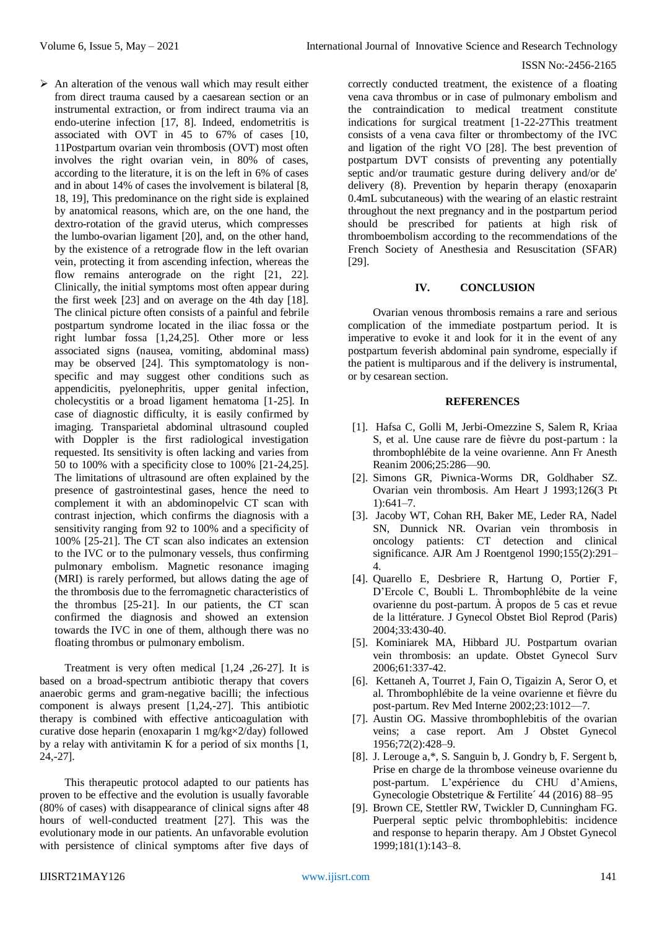#### ISSN No:-2456-2165

 $\triangleright$  An alteration of the venous wall which may result either from direct trauma caused by a caesarean section or an instrumental extraction, or from indirect trauma via an endo-uterine infection [17, 8]. Indeed, endometritis is associated with OVT in 45 to 67% of cases [10, 11Postpartum ovarian vein thrombosis (OVT) most often involves the right ovarian vein, in 80% of cases, according to the literature, it is on the left in 6% of cases and in about 14% of cases the involvement is bilateral [8, 18, 19], This predominance on the right side is explained by anatomical reasons, which are, on the one hand, the dextro-rotation of the gravid uterus, which compresses the lumbo-ovarian ligament [20], and, on the other hand, by the existence of a retrograde flow in the left ovarian vein, protecting it from ascending infection, whereas the flow remains anterograde on the right [21, 22]. Clinically, the initial symptoms most often appear during the first week [23] and on average on the 4th day [18]. The clinical picture often consists of a painful and febrile postpartum syndrome located in the iliac fossa or the right lumbar fossa [1,24,25]. Other more or less associated signs (nausea, vomiting, abdominal mass) may be observed [24]. This symptomatology is nonspecific and may suggest other conditions such as appendicitis, pyelonephritis, upper genital infection, cholecystitis or a broad ligament hematoma [1-25]. In case of diagnostic difficulty, it is easily confirmed by imaging. Transparietal abdominal ultrasound coupled with Doppler is the first radiological investigation requested. Its sensitivity is often lacking and varies from 50 to 100% with a specificity close to 100% [21-24,25]. The limitations of ultrasound are often explained by the presence of gastrointestinal gases, hence the need to complement it with an abdominopelvic CT scan with contrast injection, which confirms the diagnosis with a sensitivity ranging from 92 to 100% and a specificity of 100% [25-21]. The CT scan also indicates an extension to the IVC or to the pulmonary vessels, thus confirming pulmonary embolism. Magnetic resonance imaging (MRI) is rarely performed, but allows dating the age of the thrombosis due to the ferromagnetic characteristics of the thrombus [25-21]. In our patients, the CT scan confirmed the diagnosis and showed an extension towards the IVC in one of them, although there was no floating thrombus or pulmonary embolism.

Treatment is very often medical [1,24 ,26-27]. It is based on a broad-spectrum antibiotic therapy that covers anaerobic germs and gram-negative bacilli; the infectious component is always present [1,24,-27]. This antibiotic therapy is combined with effective anticoagulation with curative dose heparin (enoxaparin 1 mg/kg×2/day) followed by a relay with antivitamin K for a period of six months [1, 24,-27].

This therapeutic protocol adapted to our patients has proven to be effective and the evolution is usually favorable (80% of cases) with disappearance of clinical signs after 48 hours of well-conducted treatment [27]. This was the evolutionary mode in our patients. An unfavorable evolution with persistence of clinical symptoms after five days of

correctly conducted treatment, the existence of a floating vena cava thrombus or in case of pulmonary embolism and the contraindication to medical treatment constitute indications for surgical treatment [1-22-27This treatment consists of a vena cava filter or thrombectomy of the IVC and ligation of the right VO [28]. The best prevention of postpartum DVT consists of preventing any potentially septic and/or traumatic gesture during delivery and/or de' delivery (8). Prevention by heparin therapy (enoxaparin 0.4mL subcutaneous) with the wearing of an elastic restraint throughout the next pregnancy and in the postpartum period should be prescribed for patients at high risk of thromboembolism according to the recommendations of the French Society of Anesthesia and Resuscitation (SFAR) [29].

#### **IV. CONCLUSION**

Ovarian venous thrombosis remains a rare and serious complication of the immediate postpartum period. It is imperative to evoke it and look for it in the event of any postpartum feverish abdominal pain syndrome, especially if the patient is multiparous and if the delivery is instrumental, or by cesarean section.

#### **REFERENCES**

- [1]. Hafsa C, Golli M, Jerbi-Omezzine S, Salem R, Kriaa S, et al. Une cause rare de fièvre du post-partum : la thrombophlébite de la veine ovarienne. Ann Fr Anesth Reanim 2006;25:286—90.
- [2]. Simons GR, Piwnica-Worms DR, Goldhaber SZ. Ovarian vein thrombosis. Am Heart J 1993;126(3 Pt 1):641–7.
- [3]. Jacoby WT, Cohan RH, Baker ME, Leder RA, Nadel SN, Dunnick NR. Ovarian vein thrombosis in oncology patients: CT detection and clinical significance. AJR Am J Roentgenol 1990;155(2):291– 4.
- [4]. Quarello E, Desbriere R, Hartung O, Portier F, D'Ercole C, Boubli L. Thrombophlébite de la veine ovarienne du post-partum. À propos de 5 cas et revue de la littérature. J Gynecol Obstet Biol Reprod (Paris) 2004;33:430-40.
- [5]. Kominiarek MA, Hibbard JU. Postpartum ovarian vein thrombosis: an update. Obstet Gynecol Surv 2006;61:337-42.
- [6]. Kettaneh A, Tourret J, Fain O, Tigaizin A, Seror O, et al. Thrombophlébite de la veine ovarienne et fièvre du post-partum. Rev Med Interne 2002;23:1012—7.
- [7]. Austin OG. Massive thrombophlebitis of the ovarian veins; a case report. Am J Obstet Gynecol 1956;72(2):428–9.
- [8]. J. Lerouge a,\*, S. Sanguin b, J. Gondry b, F. Sergent b, Prise en charge de la thrombose veineuse ovarienne du post-partum. L'expérience du CHU d'Amiens, Gynecologie Obstetrique & Fertilite´ 44 (2016) 88–95
- [9]. Brown CE, Stettler RW, Twickler D, Cunningham FG. Puerperal septic pelvic thrombophlebitis: incidence and response to heparin therapy. Am J Obstet Gynecol 1999;181(1):143–8.